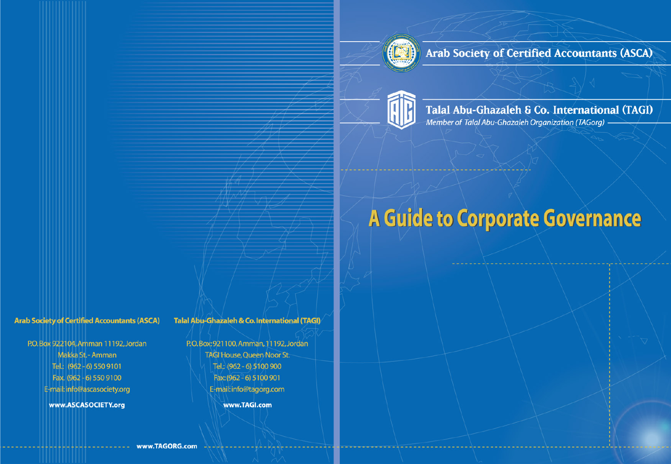

# **Arab Society of Certified Accountants (ASCA)**



Talal Abu-Ghazaleh & Co. International (TAGI) Member of Talal Abu-Ghazaleh Organization (TAGorg)

# A Guide to Corporate Governance

### **Arab Society of Certified Accountants (ASCA)**

P.O. Box 922104, Amman 11192, Jordan Makka St. - Amman Tel.: (962 - 6) 550 9101 Fax. (962 - 6) 550 9100 E-mail: info@ascasociety.org

www.ASCASOCIETY.org

#### **Talal Abu-Ghazaleh & Co. International (TAGI)**

P.O.Box: 921100, Amman, 11192, Jordan **TAGI House, Queen Noor St.** Tel.: (962 - 6) 5100 900 Fax: (962 - 6) 5100 901 E-mail: info@tagorg.com

www.TAGI.com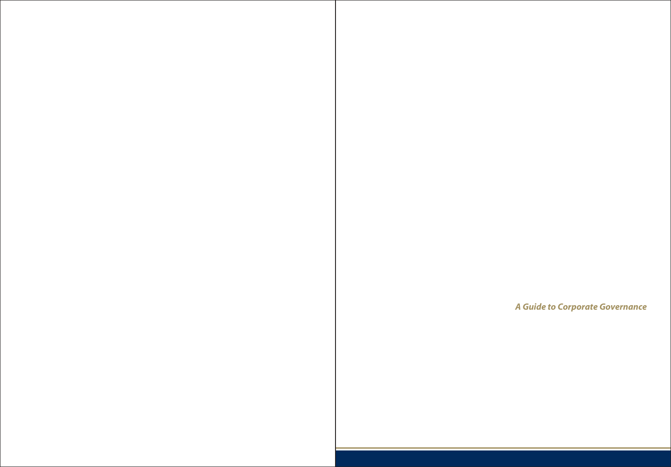*A Guide to Corporate Governance*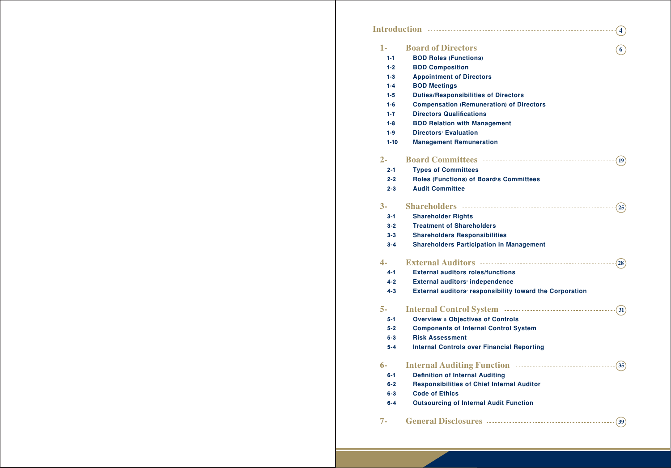|--|--|--|--|--|

| $1 -$              |                                                                              |
|--------------------|------------------------------------------------------------------------------|
| $1 - 1$            | 6<br><b>BOD Roles (Functions)</b>                                            |
| $1 - 2$            | <b>BOD Composition</b>                                                       |
| $1 - 3$            | <b>Appointment of Directors</b>                                              |
| $1 - 4$            | <b>BOD Meetings</b>                                                          |
| $1 - 5$            | <b>Duties/Responsibilities of Directors</b>                                  |
| $1-6$              | <b>Compensation (Remuneration) of Directors</b>                              |
| $1 - 7$            | <b>Directors Qualifications</b>                                              |
| $1 - 8$            | <b>BOD Relation with Management</b>                                          |
| $1-9$              | Directors <sup>,</sup> Evaluation                                            |
| $1 - 10$           | <b>Management Remuneration</b>                                               |
| $2 -$              |                                                                              |
|                    | 19                                                                           |
| $2 - 1$<br>$2 - 2$ | <b>Types of Committees</b><br><b>Roles (Functions) of Board's Committees</b> |
| $2 - 3$            | <b>Audit Committee</b>                                                       |
|                    |                                                                              |
| $3-$               | 25                                                                           |
| $3 - 1$            | <b>Shareholder Rights</b>                                                    |
| $3 - 2$            | <b>Treatment of Shareholders</b>                                             |
| $3 - 3$            | <b>Shareholders Responsibilities</b>                                         |
| $3 - 4$            | <b>Shareholders Participation in Management</b>                              |
| 4-                 | 28                                                                           |
| $4 - 1$            | <b>External auditors roles/functions</b>                                     |
| $4 - 2$            | External auditors <sup>,</sup> independence                                  |
| $4 - 3$            | External auditors <sup>,</sup> responsibility toward the Corporation         |
| 5-                 | 31                                                                           |
| $5 - 1$            | <b>Overview &amp; Objectives of Controls</b>                                 |
| $5 - 2$            | <b>Components of Internal Control System</b>                                 |
| $5 - 3$            | <b>Risk Assessment</b>                                                       |
| $5 - 4$            | <b>Internal Controls over Financial Reporting</b>                            |
|                    |                                                                              |
| 6-                 | $\left(35\right)$                                                            |
| $6 - 1$            | <b>Definition of Internal Auditing</b>                                       |
| $6 - 2$            | <b>Responsibilities of Chief Internal Auditor</b>                            |
| $6 - 3$            | <b>Code of Ethics</b>                                                        |
| $6 - 4$            | <b>Outsourcing of Internal Audit Function</b>                                |
| $7 -$              | 39                                                                           |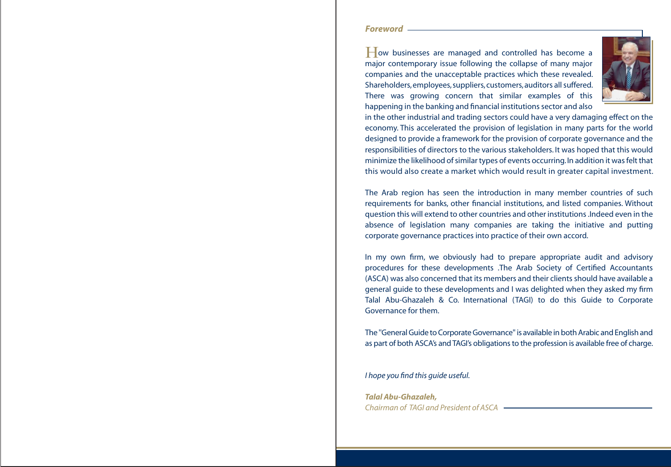#### *Foreword*

How businesses are managed and controlled has become a major contemporary issue following the collapse of many major companies and the unacceptable practices which these revealed. Shareholders, employees, suppliers, customers, auditors all suffered. There was growing concern that similar examples of this happening in the banking and financial institutions sector and also



in the other industrial and trading sectors could have a very damaging effect on the economy. This accelerated the provision of legislation in many parts for the world designed to provide a framework for the provision of corporate governance and the responsibilities of directors to the various stakeholders. It was hoped that this would minimize the likelihood of similar types of events occurring. In addition it was felt that this would also create a market which would result in greater capital investment.

The Arab region has seen the introduction in many member countries of such requirements for banks, other financial institutions, and listed companies. Without question this will extend to other countries and other institutions .Indeed even in the absence of legislation many companies are taking the initiative and putting corporate governance practices into practice of their own accord.

In my own firm, we obviously had to prepare appropriate audit and advisory procedures for these developments .The Arab Society of Certified Accountants (ASCA) was also concerned that its members and their clients should have available a general guide to these developments and I was delighted when they asked my firm Talal Abu-Ghazaleh & Co. International (TAGI) to do this Guide to Corporate Governance for them.

The ''General Guide to Corporate Governance'' is available in both Arabic and English and as part of both ASCA's and TAGI's obligations to the profession is available free of charge.

*I hope you find this guide useful.*

*Talal Abu-Ghazaleh, Chairman of TAGI and President of ASCA*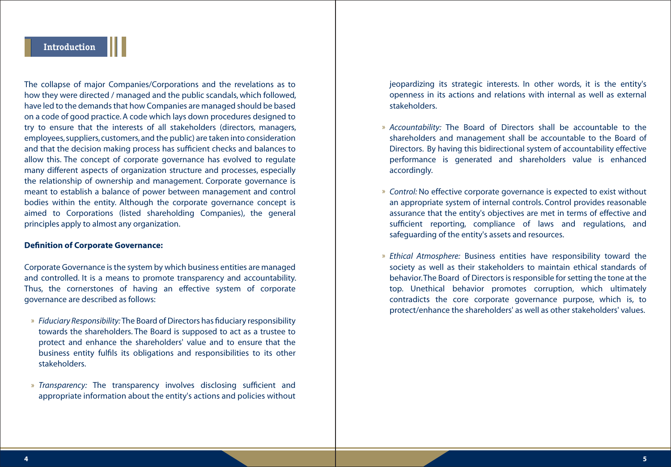## **Introduction**

The collapse of major Companies/Corporations and the revelations as to how they were directed / managed and the public scandals, which followed, have led to the demands that how Companies are managed should be based on a code of good practice. A code which lays down procedures designed to try to ensure that the interests of all stakeholders (directors, managers, employees, suppliers, customers, and the public) are taken into consideration and that the decision making process has sufficient checks and balances to allow this. The concept of corporate governance has evolved to regulate many different aspects of organization structure and processes, especially the relationship of ownership and management. Corporate governance is meant to establish a balance of power between management and control bodies within the entity. Although the corporate governance concept is aimed to Corporations (listed shareholding Companies), the general principles apply to almost any organization.

### **Definition of Corporate Governance:**

Corporate Governance is the system by which business entities are managed and controlled. It is a means to promote transparency and accountability. Thus, the cornerstones of having an effective system of corporate governance are described as follows:

- *Fiduciary Responsibility:* The Board of Directors has fiduciary responsibility towards the shareholders. The Board is supposed to act as a trustee to protect and enhance the shareholders' value and to ensure that the business entity fulfils its obligations and responsibilities to its other stakeholders.
- *Transparency:* The transparency involves disclosing sufficient and appropriate information about the entity's actions and policies without

jeopardizing its strategic interests. In other words, it is the entity's openness in its actions and relations with internal as well as external stakeholders.

- *Accountability:* The Board of Directors shall be accountable to the shareholders and management shall be accountable to the Board of Directors. By having this bidirectional system of accountability effective performance is generated and shareholders value is enhanced accordingly.
- *Control:* No effective corporate governance is expected to exist without an appropriate system of internal controls. Control provides reasonable assurance that the entity's objectives are met in terms of effective and sufficient reporting, compliance of laws and regulations, and safeguarding of the entity's assets and resources.
- *Ethical Atmosphere:* Business entities have responsibility toward the society as well as their stakeholders to maintain ethical standards of behavior. The Board of Directors is responsible for setting the tone at the top. Unethical behavior promotes corruption, which ultimately contradicts the core corporate governance purpose, which is, to protect/enhance the shareholders' as well as other stakeholders' values.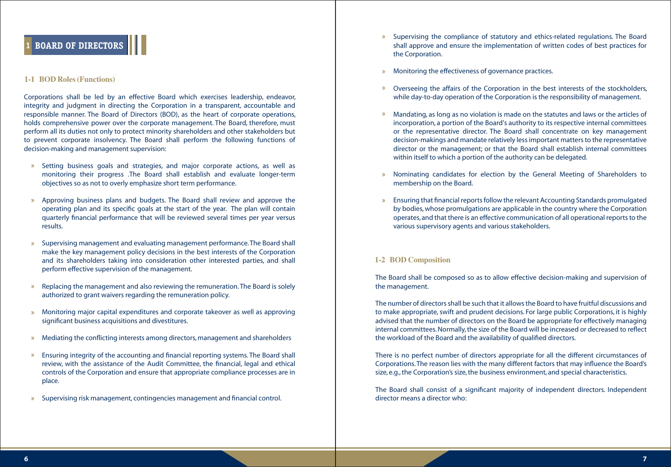# **1 BOARD OF DIRECTORS**

#### **1-1 BOD Roles (Functions)**

Corporations shall be led by an effective Board which exercises leadership, endeavor, integrity and judgment in directing the Corporation in a transparent, accountable and responsible manner. The Board of Directors (BOD), as the heart of corporate operations, holds comprehensive power over the corporate management. The Board, therefore, must perform all its duties not only to protect minority shareholders and other stakeholders but to prevent corporate insolvency. The Board shall perform the following functions of decision-making and management supervision:

- $\mathbf{y}_\parallel$ Setting business goals and strategies, and major corporate actions, as well as monitoring their progress .The Board shall establish and evaluate longer-term objectives so as not to overly emphasize short term performance.
- Approving business plans and budgets. The Board shall review and approve the operating plan and its specific goals at the start of the year. The plan will contain quarterly financial performance that will be reviewed several times per year versus results.
- Supervising management and evaluating management performance. The Board shall make the key management policy decisions in the best interests of the Corporation and its shareholders taking into consideration other interested parties, and shall perform effective supervision of the management.
- Replacing the management and also reviewing the remuneration. The Board is solely  $\mathbf{y}_\mathrm{c}$ authorized to grant waivers regarding the remuneration policy.
- Monitoring major capital expenditures and corporate takeover as well as approving significant business acquisitions and divestitures.
- Mediating the conflicting interests among directors, management and shareholders »
- Ensuring integrity of the accounting and financial reporting systems. The Board shall  $\mathbf{M}$ review, with the assistance of the Audit Committee, the financial, legal and ethical controls of the Corporation and ensure that appropriate compliance processes are in place.
- Supervising risk management, contingencies management and financial control.  $\mathbf{y}_\mathrm{c}$
- $\gg$ Supervising the compliance of statutory and ethics-related regulations. The Board shall approve and ensure the implementation of written codes of best practices for the Corporation.
- Monitoring the effectiveness of governance practices.
- Overseeing the affairs of the Corporation in the best interests of the stockholders, while day-to-day operation of the Corporation is the responsibility of management.
- Mandating, as long as no violation is made on the statutes and laws or the articles of incorporation, a portion of the Board's authority to its respective internal committees or the representative director. The Board shall concentrate on key management decision-makings and mandate relatively less important matters to the representative director or the management; or that the Board shall establish internal committees within itself to which a portion of the authority can be delegated.
- Nominating candidates for election by the General Meeting of Shareholders to membership on the Board.
- Ensuring that financial reports follow the relevant Accounting Standards promulgated by bodies, whose promulgations are applicable in the country where the Corporation operates, and that there is an effective communication of all operational reports to the various supervisory agents and various stakeholders.

#### **1-2 BOD Composition**

The Board shall be composed so as to allow effective decision-making and supervision of the management.

The number of directors shall be such that it allows the Board to have fruitful discussions and to make appropriate, swift and prudent decisions. For large public Corporations, it is highly advised that the number of directors on the Board be appropriate for effectively managing internal committees. Normally, the size of the Board will be increased or decreased to reflect the workload of the Board and the availability of qualified directors.

There is no perfect number of directors appropriate for all the different circumstances of Corporations. The reason lies with the many different factors that may influence the Board's size, e.g., the Corporation's size, the business environment, and special characteristics.

The Board shall consist of a significant majority of independent directors. Independent director means a director who: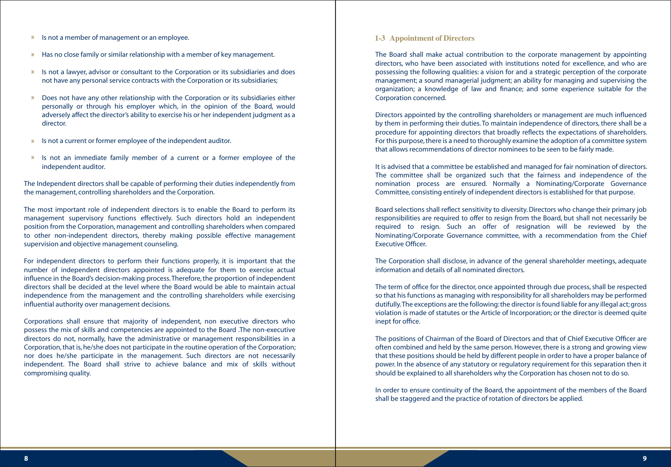- **1-3 Appointment of Directors** Is not a member of management or an employee.  $\mathbf{w}$
- Has no close family or similar relationship with a member of key management.  $\mathbf{y}^{\top}$
- <sup>»</sup> Is not a lawyer, advisor or consultant to the Corporation or its subsidiaries and does not have any personal service contracts with the Corporation or its subsidiaries;
- Does not have any other relationship with the Corporation or its subsidiaries either  $\mathbf{y}_0$ personally or through his employer which, in the opinion of the Board, would adversely affect the director's ability to exercise his or her independent judgment as a director.
- » Is not a current or former employee of the independent auditor.
- Is not an immediate family member of a current or a former employee of the independent auditor.

The Independent directors shall be capable of performing their duties independently from the management, controlling shareholders and the Corporation.

The most important role of independent directors is to enable the Board to perform its management supervisory functions effectively. Such directors hold an independent position from the Corporation, management and controlling shareholders when compared to other non-independent directors, thereby making possible effective management supervision and objective management counseling.

For independent directors to perform their functions properly, it is important that the number of independent directors appointed is adequate for them to exercise actual influence in the Board's decision-making process. Therefore, the proportion of independent directors shall be decided at the level where the Board would be able to maintain actual independence from the management and the controlling shareholders while exercising influential authority over management decisions.

Corporations shall ensure that majority of independent, non executive directors who possess the mix of skills and competencies are appointed to the Board .The non-executive directors do not, normally, have the administrative or management responsibilities in a Corporation, that is, he/she does not participate in the routine operation of the Corporation; nor does he/she participate in the management. Such directors are not necessarily independent. The Board shall strive to achieve balance and mix of skills without compromising quality.

The Board shall make actual contribution to the corporate management by appointing directors, who have been associated with institutions noted for excellence, and who are possessing the following qualities: a vision for and a strategic perception of the corporate management; a sound managerial judgment; an ability for managing and supervising the organization; a knowledge of law and finance; and some experience suitable for the Corporation concerned.

Directors appointed by the controlling shareholders or management are much influenced by them in performing their duties. To maintain independence of directors, there shall be a procedure for appointing directors that broadly reflects the expectations of shareholders. For this purpose, there is a need to thoroughly examine the adoption of a committee system that allows recommendations of director nominees to be seen to be fairly made.

It is advised that a committee be established and managed for fair nomination of directors. The committee shall be organized such that the fairness and independence of the nomination process are ensured. Normally a Nominating/Corporate Governance Committee, consisting entirely of independent directors is established for that purpose.

Board selections shall reflect sensitivity to diversity. Directors who change their primary job responsibilities are required to offer to resign from the Board, but shall not necessarily be required to resign. Such an offer of resignation will be reviewed by the Nominating/Corporate Governance committee, with a recommendation from the Chief Executive Officer.

The Corporation shall disclose, in advance of the general shareholder meetings, adequate information and details of all nominated directors.

The term of office for the director, once appointed through due process, shall be respected so that his functions as managing with responsibility for all shareholders may be performed dutifully. The exceptions are the following: the director is found liable for any illegal act; gross violation is made of statutes or the Article of Incorporation; or the director is deemed quite inept for office.

The positions of Chairman of the Board of Directors and that of Chief Executive Officer are often combined and held by the same person. However, there is a strong and growing view that these positions should be held by different people in order to have a proper balance of power. In the absence of any statutory or regulatory requirement for this separation then it should be explained to all shareholders why the Corporation has chosen not to do so.

In order to ensure continuity of the Board, the appointment of the members of the Board shall be staggered and the practice of rotation of directors be applied.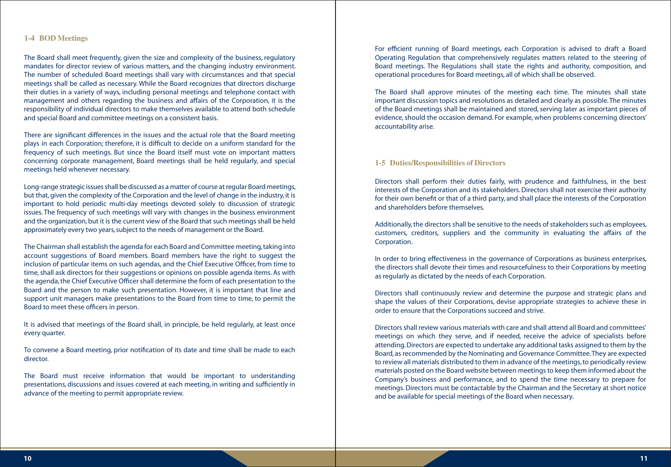### **1-4 BOD Meetings**

The Board shall meet frequently, given the size and complexity of the business, regulatory mandates for director review of various matters, and the changing industry environment. The number of scheduled Board meetings shall vary with circumstances and that special meetings shall be called as necessary. While the Board recognizes that directors discharge their duties in a variety of ways, including personal meetings and telephone contact with management and others regarding the business and affairs of the Corporation, it is the responsibility of individual directors to make themselves available to attend both schedule and special Board and committee meetings on a consistent basis.

There are significant differences in the issues and the actual role that the Board meeting plays in each Corporation; therefore, it is difficult to decide on a uniform standard for the frequency of such meetings. But since the Board itself must vote on important matters concerning corporate management, Board meetings shall be held regularly, and special meetings held whenever necessary.

Long-range strategic issues shall be discussed as a matter of course at regular Board meetings, but that, given the complexity of the Corporation and the level of change in the industry, it is important to hold periodic multi-day meetings devoted solely to discussion of strategic issues. The frequency of such meetings will vary with changes in the business environment and the organization, but it is the current view of the Board that such meetings shall be held approximately every two years, subject to the needs of management or the Board.

The Chairman shall establish the agenda for each Board and Committee meeting, taking into account suggestions of Board members. Board members have the right to suggest the inclusion of particular items on such agendas, and the Chief Executive Officer, from time to time, shall ask directors for their suggestions or opinions on possible agenda items. As with the agenda, the Chief Executive Officer shall determine the form of each presentation to the Board and the person to make such presentation. However, it is important that line and support unit managers make presentations to the Board from time to time, to permit the Board to meet these officers in person.

It is advised that meetings of the Board shall, in principle, be held regularly, at least once every quarter.

To convene a Board meeting, prior notification of its date and time shall be made to each director.

The Board must receive information that would be important to understanding presentations, discussions and issues covered at each meeting, in writing and sufficiently in advance of the meeting to permit appropriate review.

For efficient running of Board meetings, each Corporation is advised to draft a Board Operating Regulation that comprehensively regulates matters related to the steering of Board meetings. The Regulations shall state the rights and authority, composition, and operational procedures for Board meetings, all of which shall be observed.

The Board shall approve minutes of the meeting each time. The minutes shall state important discussion topics and resolutions as detailed and clearly as possible. The minutes of the Board meetings shall be maintained and stored, serving later as important pieces of evidence, should the occasion demand. For example, when problems concerning directors' accountability arise.

#### **1-5 Duties/Responsibilities of Directors**

Directors shall perform their duties fairly, with prudence and faithfulness, in the best interests of the Corporation and its stakeholders. Directors shall not exercise their authority for their own benefit or that of a third party, and shall place the interests of the Corporation and shareholders before themselves.

Additionally, the directors shall be sensitive to the needs of stakeholders such as employees, customers, creditors, suppliers and the community in evaluating the affairs of the Corporation.

In order to bring effectiveness in the governance of Corporations as business enterprises, the directors shall devote their times and resourcefulness to their Corporations by meeting as regularly as dictated by the needs of each Corporation.

Directors shall continuously review and determine the purpose and strategic plans and shape the values of their Corporations, devise appropriate strategies to achieve these in order to ensure that the Corporations succeed and strive.

Directors shall review various materials with care and shall attend all Board and committees' meetings on which they serve, and if needed, receive the advice of specialists before attending. Directors are expected to undertake any additional tasks assigned to them by the Board, as recommended by the Nominating and Governance Committee. They are expected to review all materials distributed to them in advance of the meetings, to periodically review materials posted on the Board website between meetings to keep them informed about the Company's business and performance, and to spend the time necessary to prepare for meetings. Directors must be contactable by the Chairman and the Secretary at short notice and be available for special meetings of the Board when necessary.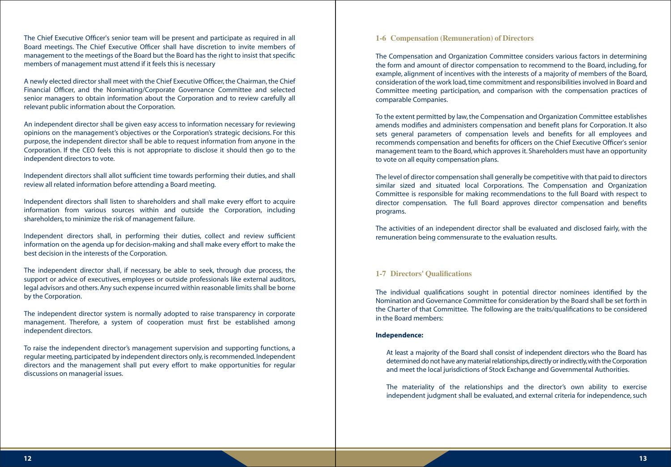The Chief Executive Officer's senior team will be present and participate as required in all Board meetings. The Chief Executive Officer shall have discretion to invite members of management to the meetings of the Board but the Board has the right to insist that specific members of management must attend if it feels this is necessary

A newly elected director shall meet with the Chief Executive Officer, the Chairman, the Chief Financial Officer, and the Nominating/Corporate Governance Committee and selected senior managers to obtain information about the Corporation and to review carefully all relevant public information about the Corporation.

An independent director shall be given easy access to information necessary for reviewing opinions on the management's objectives or the Corporation's strategic decisions. For this purpose, the independent director shall be able to request information from anyone in the Corporation. If the CEO feels this is not appropriate to disclose it should then go to the independent directors to vote.

Independent directors shall allot sufficient time towards performing their duties, and shall review all related information before attending a Board meeting.

Independent directors shall listen to shareholders and shall make every effort to acquire information from various sources within and outside the Corporation, including shareholders, to minimize the risk of management failure.

Independent directors shall, in performing their duties, collect and review sufficient information on the agenda up for decision-making and shall make every effort to make the best decision in the interests of the Corporation.

The independent director shall, if necessary, be able to seek, through due process, the support or advice of executives, employees or outside professionals like external auditors, legal advisors and others. Any such expense incurred within reasonable limits shall be borne by the Corporation.

The independent director system is normally adopted to raise transparency in corporate management. Therefore, a system of cooperation must first be established among independent directors.

To raise the independent director's management supervision and supporting functions, a regular meeting, participated by independent directors only, is recommended. Independent directors and the management shall put every effort to make opportunities for regular discussions on managerial issues.

#### **1-6 Compensation (Remuneration) of Directors**

The Compensation and Organization Committee considers various factors in determining the form and amount of director compensation to recommend to the Board, including, for example, alignment of incentives with the interests of a majority of members of the Board, consideration of the work load, time commitment and responsibilities involved in Board and Committee meeting participation, and comparison with the compensation practices of comparable Companies.

To the extent permitted by law, the Compensation and Organization Committee establishes amends modifies and administers compensation and benefit plans for Corporation. It also sets general parameters of compensation levels and benefits for all employees and recommends compensation and benefits for officers on the Chief Executive Officer's senior management team to the Board, which approves it. Shareholders must have an opportunity to vote on all equity compensation plans.

The level of director compensation shall generally be competitive with that paid to directors similar sized and situated local Corporations. The Compensation and Organization Committee is responsible for making recommendations to the full Board with respect to director compensation. The full Board approves director compensation and benefits programs.

The activities of an independent director shall be evaluated and disclosed fairly, with the remuneration being commensurate to the evaluation results.

### **1-7 Directors' Qualifications**

The individual qualifications sought in potential director nominees identified by the Nomination and Governance Committee for consideration by the Board shall be set forth in the Charter of that Committee. The following are the traits/qualifications to be considered in the Board members:

#### **Independence:**

At least a majority of the Board shall consist of independent directors who the Board has determined do not have any material relationships, directly or indirectly, with the Corporation and meet the local jurisdictions of Stock Exchange and Governmental Authorities.

The materiality of the relationships and the director's own ability to exercise independent judgment shall be evaluated, and external criteria for independence, such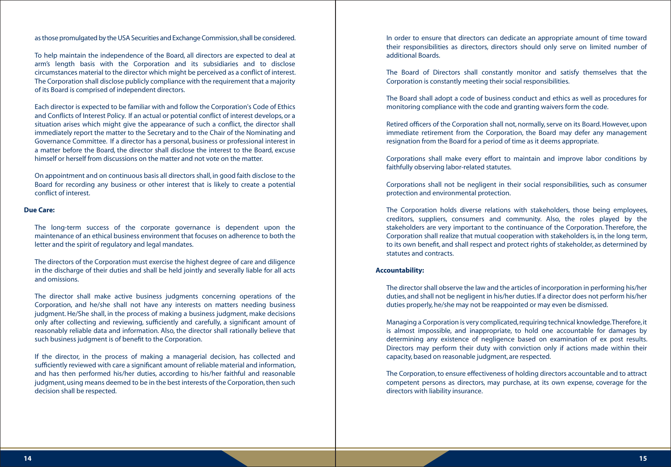as those promulgated by the USA Securities and Exchange Commission, shall be considered.

To help maintain the independence of the Board, all directors are expected to deal at arm's length basis with the Corporation and its subsidiaries and to disclose circumstances material to the director which might be perceived as a conflict of interest. The Corporation shall disclose publicly compliance with the requirement that a majority of its Board is comprised of independent directors.

Each director is expected to be familiar with and follow the Corporation's Code of Ethics and Conflicts of Interest Policy. If an actual or potential conflict of interest develops, or a situation arises which might give the appearance of such a conflict, the director shall immediately report the matter to the Secretary and to the Chair of the Nominating and Governance Committee. If a director has a personal, business or professional interest in a matter before the Board, the director shall disclose the interest to the Board, excuse himself or herself from discussions on the matter and not vote on the matter.

On appointment and on continuous basis all directors shall, in good faith disclose to the Board for recording any business or other interest that is likely to create a potential conflict of interest.

#### **Due Care:**

The long-term success of the corporate governance is dependent upon the maintenance of an ethical business environment that focuses on adherence to both the letter and the spirit of regulatory and legal mandates.

The directors of the Corporation must exercise the highest degree of care and diligence in the discharge of their duties and shall be held jointly and severally liable for all acts and omissions.

The director shall make active business judgments concerning operations of the Corporation, and he/she shall not have any interests on matters needing business judgment. He/She shall, in the process of making a business judgment, make decisions only after collecting and reviewing, sufficiently and carefully, a significant amount of reasonably reliable data and information. Also, the director shall rationally believe that such business judgment is of benefit to the Corporation.

If the director, in the process of making a managerial decision, has collected and sufficiently reviewed with care a significant amount of reliable material and information, and has then performed his/her duties, according to his/her faithful and reasonable judgment, using means deemed to be in the best interests of the Corporation, then such decision shall be respected.

In order to ensure that directors can dedicate an appropriate amount of time toward their responsibilities as directors, directors should only serve on limited number of additional Boards.

The Board of Directors shall constantly monitor and satisfy themselves that the Corporation is constantly meeting their social responsibilities.

The Board shall adopt a code of business conduct and ethics as well as procedures for monitoring compliance with the code and granting waivers form the code.

Retired officers of the Corporation shall not, normally, serve on its Board. However, upon immediate retirement from the Corporation, the Board may defer any management resignation from the Board for a period of time as it deems appropriate.

Corporations shall make every effort to maintain and improve labor conditions by faithfully observing labor-related statutes.

Corporations shall not be negligent in their social responsibilities, such as consumer protection and environmental protection.

The Corporation holds diverse relations with stakeholders, those being employees, creditors, suppliers, consumers and community. Also, the roles played by the stakeholders are very important to the continuance of the Corporation. Therefore, the Corporation shall realize that mutual cooperation with stakeholders is, in the long term, to its own benefit, and shall respect and protect rights of stakeholder, as determined by statutes and contracts.

#### **Accountability:**

The director shall observe the law and the articles of incorporation in performing his/her duties, and shall not be negligent in his/her duties. If a director does not perform his/her duties properly, he/she may not be reappointed or may even be dismissed.

Managing a Corporation is very complicated, requiring technical knowledge. Therefore, it is almost impossible, and inappropriate, to hold one accountable for damages by determining any existence of negligence based on examination of ex post results. Directors may perform their duty with conviction only if actions made within their capacity, based on reasonable judgment, are respected.

The Corporation, to ensure effectiveness of holding directors accountable and to attract competent persons as directors, may purchase, at its own expense, coverage for the directors with liability insurance.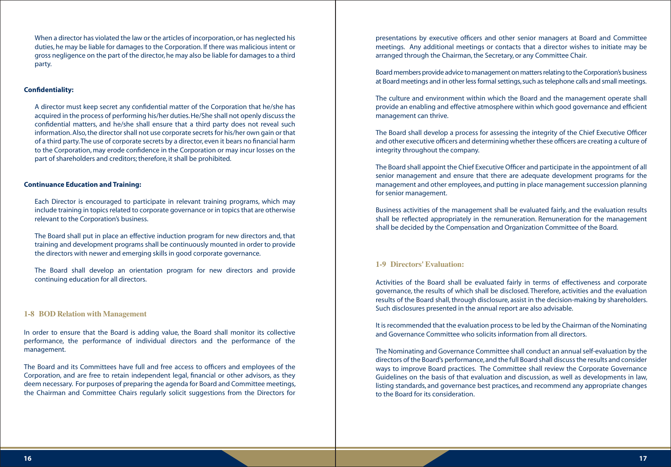When a director has violated the law or the articles of incorporation, or has neglected his duties, he may be liable for damages to the Corporation. If there was malicious intent or gross negligence on the part of the director, he may also be liable for damages to a third party.

#### **Confidentiality:**

A director must keep secret any confidential matter of the Corporation that he/she has acquired in the process of performing his/her duties. He/She shall not openly discuss the confidential matters, and he/she shall ensure that a third party does not reveal such information. Also, the director shall not use corporate secrets for his/her own gain or that of a third party. The use of corporate secrets by a director, even it bears no financial harm to the Corporation, may erode confidence in the Corporation or may incur losses on the part of shareholders and creditors; therefore, it shall be prohibited.

#### **Continuance Education and Training:**

Each Director is encouraged to participate in relevant training programs, which may include training in topics related to corporate governance or in topics that are otherwise relevant to the Corporation's business.

The Board shall put in place an effective induction program for new directors and, that training and development programs shall be continuously mounted in order to provide the directors with newer and emerging skills in good corporate governance.

The Board shall develop an orientation program for new directors and provide continuing education for all directors.

#### **1-8 BOD Relation with Management**

In order to ensure that the Board is adding value, the Board shall monitor its collective performance, the performance of individual directors and the performance of the management.

The Board and its Committees have full and free access to officers and employees of the Corporation, and are free to retain independent legal, financial or other advisors, as they deem necessary. For purposes of preparing the agenda for Board and Committee meetings, the Chairman and Committee Chairs regularly solicit suggestions from the Directors for

presentations by executive officers and other senior managers at Board and Committee meetings. Any additional meetings or contacts that a director wishes to initiate may be arranged through the Chairman, the Secretary, or any Committee Chair.

Board members provide advice to management on matters relating to the Corporation's business at Board meetings and in other less formal settings, such as telephone calls and small meetings.

The culture and environment within which the Board and the management operate shall provide an enabling and effective atmosphere within which good governance and efficient management can thrive.

The Board shall develop a process for assessing the integrity of the Chief Executive Officer and other executive officers and determining whether these officers are creating a culture of integrity throughout the company.

The Board shall appoint the Chief Executive Officer and participate in the appointment of all senior management and ensure that there are adequate development programs for the management and other employees, and putting in place management succession planning for senior management.

Business activities of the management shall be evaluated fairly, and the evaluation results shall be reflected appropriately in the remuneration. Remuneration for the management shall be decided by the Compensation and Organization Committee of the Board.

#### **1-9 Directors' Evaluation:**

Activities of the Board shall be evaluated fairly in terms of effectiveness and corporate governance, the results of which shall be disclosed. Therefore, activities and the evaluation results of the Board shall, through disclosure, assist in the decision-making by shareholders. Such disclosures presented in the annual report are also advisable.

It is recommended that the evaluation process to be led by the Chairman of the Nominating and Governance Committee who solicits information from all directors.

The Nominating and Governance Committee shall conduct an annual self-evaluation by the directors of the Board's performance, and the full Board shall discuss the results and consider ways to improve Board practices. The Committee shall review the Corporate Governance Guidelines on the basis of that evaluation and discussion, as well as developments in law, listing standards, and governance best practices, and recommend any appropriate changes to the Board for its consideration.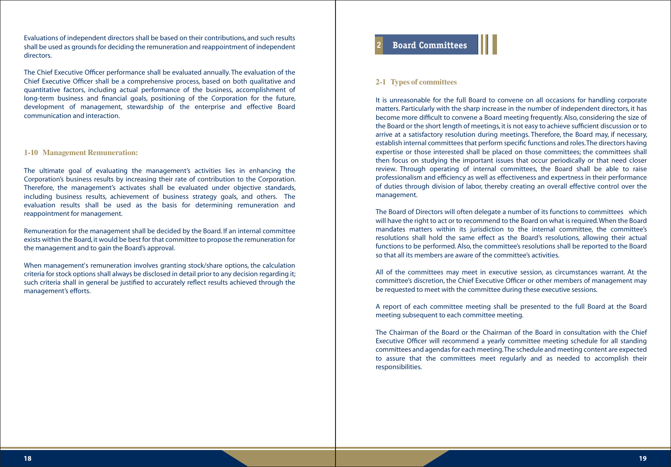Evaluations of independent directors shall be based on their contributions, and such results **Example 1999 and Solutions** of independent and reappointment of independent **the set of the solution of the solution of the solu** directors.

The Chief Executive Officer performance shall be evaluated annually. The evaluation of the Chief Executive Officer shall be a comprehensive process, based on both qualitative and quantitative factors, including actual performance of the business, accomplishment of long-term business and financial goals, positioning of the Corporation for the future, development of management, stewardship of the enterprise and effective Board communication and interaction.

#### **1-10 Management Remuneration:**

The ultimate goal of evaluating the management's activities lies in enhancing the Corporation's business results by increasing their rate of contribution to the Corporation. Therefore, the management's activates shall be evaluated under objective standards, including business results, achievement of business strategy goals, and others. The evaluation results shall be used as the basis for determining remuneration and reappointment for management.

Remuneration for the management shall be decided by the Board. If an internal committee exists within the Board, it would be best for that committee to propose the remuneration for the management and to gain the Board's approval.

When management's remuneration involves granting stock/share options, the calculation criteria for stock options shall always be disclosed in detail prior to any decision regarding it; such criteria shall in general be justified to accurately reflect results achieved through the management's efforts.

#### **2-1 Types of committees**

It is unreasonable for the full Board to convene on all occasions for handling corporate matters. Particularly with the sharp increase in the number of independent directors, it has become more difficult to convene a Board meeting frequently. Also, considering the size of the Board or the short length of meetings, it is not easy to achieve sufficient discussion or to arrive at a satisfactory resolution during meetings. Therefore, the Board may, if necessary, establish internal committees that perform specific functions and roles. The directors having expertise or those interested shall be placed on those committees; the committees shall then focus on studying the important issues that occur periodically or that need closer review. Through operating of internal committees, the Board shall be able to raise professionalism and efficiency as well as effectiveness and expertness in their performance of duties through division of labor, thereby creating an overall effective control over the management.

The Board of Directors will often delegate a number of its functions to committees which will have the right to act or to recommend to the Board on what is required. When the Board mandates matters within its jurisdiction to the internal committee, the committee's resolutions shall hold the same effect as the Board's resolutions, allowing their actual functions to be performed. Also, the committee's resolutions shall be reported to the Board so that all its members are aware of the committee's activities.

All of the committees may meet in executive session, as circumstances warrant. At the committee's discretion, the Chief Executive Officer or other members of management may be requested to meet with the committee during these executive sessions.

A report of each committee meeting shall be presented to the full Board at the Board meeting subsequent to each committee meeting.

The Chairman of the Board or the Chairman of the Board in consultation with the Chief Executive Officer will recommend a yearly committee meeting schedule for all standing committees and agendas for each meeting. The schedule and meeting content are expected to assure that the committees meet regularly and as needed to accomplish their responsibilities.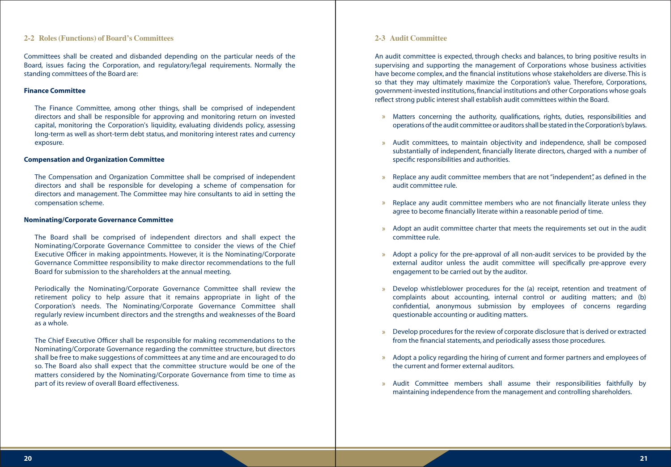#### **2-2 Roles (Functions) of Board's Committees**

Committees shall be created and disbanded depending on the particular needs of the Board, issues facing the Corporation, and regulatory/legal requirements. Normally the standing committees of the Board are:

#### **Finance Committee**

The Finance Committee, among other things, shall be comprised of independent directors and shall be responsible for approving and monitoring return on invested capital, monitoring the Corporation's liquidity, evaluating dividends policy, assessing long-term as well as short-term debt status, and monitoring interest rates and currency exposure.

#### **Compensation and Organization Committee**

The Compensation and Organization Committee shall be comprised of independent directors and shall be responsible for developing a scheme of compensation for directors and management. The Committee may hire consultants to aid in setting the compensation scheme.

#### **Nominating/Corporate Governance Committee**

The Board shall be comprised of independent directors and shall expect the Nominating/Corporate Governance Committee to consider the views of the Chief Executive Officer in making appointments. However, it is the Nominating/Corporate Governance Committee responsibility to make director recommendations to the full Board for submission to the shareholders at the annual meeting.

Periodically the Nominating/Corporate Governance Committee shall review the retirement policy to help assure that it remains appropriate in light of the Corporation's needs. The Nominating/Corporate Governance Committee shall regularly review incumbent directors and the strengths and weaknesses of the Board as a whole.

The Chief Executive Officer shall be responsible for making recommendations to the Nominating/Corporate Governance regarding the committee structure, but directors shall be free to make suggestions of committees at any time and are encouraged to do so. The Board also shall expect that the committee structure would be one of the matters considered by the Nominating/Corporate Governance from time to time as part of its review of overall Board effectiveness.

#### **2-3 Audit Committee**

An audit committee is expected, through checks and balances, to bring positive results in supervising and supporting the management of Corporations whose business activities have become complex, and the financial institutions whose stakeholders are diverse. This is so that they may ultimately maximize the Corporation's value. Therefore, Corporations, government-invested institutions, financial institutions and other Corporations whose goals reflect strong public interest shall establish audit committees within the Board.

- Matters concerning the authority, qualifications, rights, duties, responsibilities and operations of the audit committee or auditors shall be stated in the Corporation's bylaws.
- Audit committees, to maintain objectivity and independence, shall be composed substantially of independent, financially literate directors, charged with a number of specific responsibilities and authorities.
- » Replace any audit committee members that are not "independent", as defined in the audit committee rule.
- » Replace any audit committee members who are not financially literate unless they agree to become financially literate within a reasonable period of time.
- Adopt an audit committee charter that meets the requirements set out in the audit committee rule.
- Adopt a policy for the pre-approval of all non-audit services to be provided by the external auditor unless the audit committee will specifically pre-approve every engagement to be carried out by the auditor.
- Develop whistleblower procedures for the (a) receipt, retention and treatment of  $\infty$ complaints about accounting, internal control or auditing matters; and (b) confidential, anonymous submission by employees of concerns regarding questionable accounting or auditing matters.
- Develop procedures for the review of corporate disclosure that is derived or extracted from the financial statements, and periodically assess those procedures.
- Adopt a policy regarding the hiring of current and former partners and employees of the current and former external auditors.
- Audit Committee members shall assume their responsibilities faithfully by maintaining independence from the management and controlling shareholders.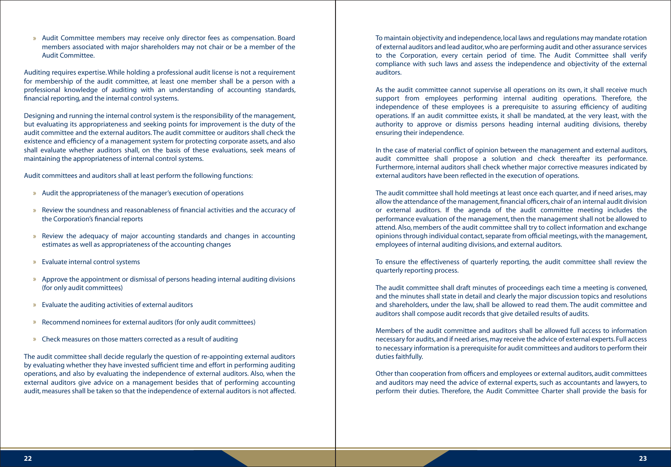» Audit Committee members may receive only director fees as compensation. Board members associated with major shareholders may not chair or be a member of the Audit Committee.

Auditing requires expertise. While holding a professional audit license is not a requirement for membership of the audit committee, at least one member shall be a person with a professional knowledge of auditing with an understanding of accounting standards, financial reporting, and the internal control systems.

Designing and running the internal control system is the responsibility of the management, but evaluating its appropriateness and seeking points for improvement is the duty of the audit committee and the external auditors. The audit committee or auditors shall check the existence and efficiency of a management system for protecting corporate assets, and also shall evaluate whether auditors shall, on the basis of these evaluations, seek means of maintaining the appropriateness of internal control systems.

Audit committees and auditors shall at least perform the following functions:

- Audit the appropriateness of the manager's execution of operations
- Review the soundness and reasonableness of financial activities and the accuracy of the Corporation's financial reports
- Review the adequacy of major accounting standards and changes in accounting  $\mathbf{y}$ estimates as well as appropriateness of the accounting changes
- Evaluate internal control systems  $\lambda$
- Approve the appointment or dismissal of persons heading internal auditing divisions (for only audit committees)
- Evaluate the auditing activities of external auditors
- Recommend nominees for external auditors (for only audit committees)
- Check measures on those matters corrected as a result of auditing

The audit committee shall decide regularly the question of re-appointing external auditors by evaluating whether they have invested sufficient time and effort in performing auditing operations, and also by evaluating the independence of external auditors. Also, when the external auditors give advice on a management besides that of performing accounting audit, measures shall be taken so that the independence of external auditors is not affected. To maintain objectivity and independence, local laws and regulations may mandate rotation of external auditors and lead auditor, who are performing audit and other assurance services to the Corporation, every certain period of time. The Audit Committee shall verify compliance with such laws and assess the independence and objectivity of the external auditors.

As the audit committee cannot supervise all operations on its own, it shall receive much support from employees performing internal auditing operations. Therefore, the independence of these employees is a prerequisite to assuring efficiency of auditing operations. If an audit committee exists, it shall be mandated, at the very least, with the authority to approve or dismiss persons heading internal auditing divisions, thereby ensuring their independence.

In the case of material conflict of opinion between the management and external auditors, audit committee shall propose a solution and check thereafter its performance. Furthermore, internal auditors shall check whether major corrective measures indicated by external auditors have been reflected in the execution of operations.

The audit committee shall hold meetings at least once each quarter, and if need arises, may allow the attendance of the management, financial officers, chair of an internal audit division or external auditors. If the agenda of the audit committee meeting includes the performance evaluation of the management, then the management shall not be allowed to attend. Also, members of the audit committee shall try to collect information and exchange opinions through individual contact, separate from official meetings, with the management, employees of internal auditing divisions, and external auditors.

To ensure the effectiveness of quarterly reporting, the audit committee shall review the quarterly reporting process.

The audit committee shall draft minutes of proceedings each time a meeting is convened, and the minutes shall state in detail and clearly the major discussion topics and resolutions and shareholders, under the law, shall be allowed to read them. The audit committee and auditors shall compose audit records that give detailed results of audits.

Members of the audit committee and auditors shall be allowed full access to information necessary for audits, and if need arises, may receive the advice of external experts. Full access to necessary information is a prerequisite for audit committees and auditors to perform their duties faithfully.

Other than cooperation from officers and employees or external auditors, audit committees and auditors may need the advice of external experts, such as accountants and lawyers, to perform their duties. Therefore, the Audit Committee Charter shall provide the basis for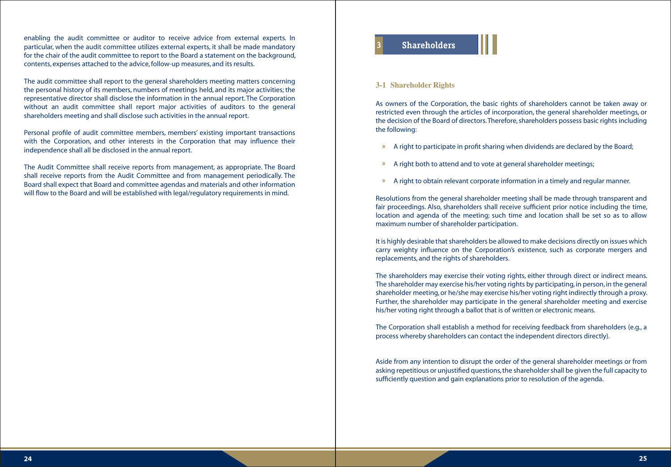enabling the audit committee or auditor to receive advice from external experts. In **1998 and 1998 and 1999 and 1999**<br>particular, when the audit committee utilizes external experts, it shall be made mandatory **1999 and 199** for the chair of the audit committee to report to the Board a statement on the background, contents, expenses attached to the advice, follow-up measures, and its results.

The audit committee shall report to the general shareholders meeting matters concerning the personal history of its members, numbers of meetings held, and its major activities; the representative director shall disclose the information in the annual report. The Corporation without an audit committee shall report major activities of auditors to the general shareholders meeting and shall disclose such activities in the annual report.

Personal profile of audit committee members, members' existing important transactions with the Corporation, and other interests in the Corporation that may influence their independence shall all be disclosed in the annual report.

The Audit Committee shall receive reports from management, as appropriate. The Board shall receive reports from the Audit Committee and from management periodically. The Board shall expect that Board and committee agendas and materials and other information will flow to the Board and will be established with legal/regulatory requirements in mind.

#### **3-1 Shareholder Rights**

As owners of the Corporation, the basic rights of shareholders cannot be taken away or restricted even through the articles of incorporation, the general shareholder meetings, or the decision of the Board of directors. Therefore, shareholders possess basic rights including the following:

- A right to participate in profit sharing when dividends are declared by the Board;
- A right both to attend and to vote at general shareholder meetings;  $\mathcal{D}^{\pm}$
- A right to obtain relevant corporate information in a timely and regular manner.  $\gg$

Resolutions from the general shareholder meeting shall be made through transparent and fair proceedings. Also, shareholders shall receive sufficient prior notice including the time, location and agenda of the meeting; such time and location shall be set so as to allow maximum number of shareholder participation.

It is highly desirable that shareholders be allowed to make decisions directly on issues which carry weighty influence on the Corporation's existence, such as corporate mergers and replacements, and the rights of shareholders.

The shareholders may exercise their voting rights, either through direct or indirect means. The shareholder may exercise his/her voting rights by participating, in person, in the general shareholder meeting, or he/she may exercise his/her voting right indirectly through a proxy. Further, the shareholder may participate in the general shareholder meeting and exercise his/her voting right through a ballot that is of written or electronic means.

The Corporation shall establish a method for receiving feedback from shareholders (e.g., a process whereby shareholders can contact the independent directors directly).

Aside from any intention to disrupt the order of the general shareholder meetings or from asking repetitious or unjustified questions, the shareholder shall be given the full capacity to sufficiently question and gain explanations prior to resolution of the agenda.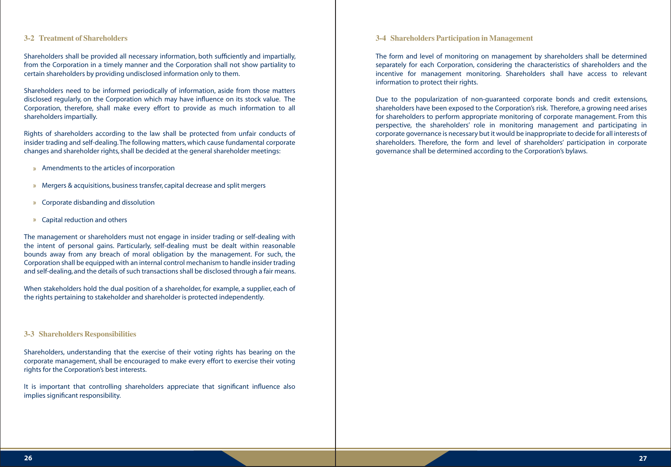#### **3-2 Treatment of Shareholders**

Shareholders shall be provided all necessary information, both sufficiently and impartially, from the Corporation in a timely manner and the Corporation shall not show partiality to certain shareholders by providing undisclosed information only to them.

Shareholders need to be informed periodically of information, aside from those matters disclosed regularly, on the Corporation which may have influence on its stock value. The Corporation, therefore, shall make every effort to provide as much information to all shareholders impartially.

Rights of shareholders according to the law shall be protected from unfair conducts of insider trading and self-dealing. The following matters, which cause fundamental corporate changes and shareholder rights, shall be decided at the general shareholder meetings:

- Amendments to the articles of incorporation
- Mergers & acquisitions, business transfer, capital decrease and split mergers
- Corporate disbanding and dissolution
- Capital reduction and others

The management or shareholders must not engage in insider trading or self-dealing with the intent of personal gains. Particularly, self-dealing must be dealt within reasonable bounds away from any breach of moral obligation by the management. For such, the Corporation shall be equipped with an internal control mechanism to handle insider trading and self-dealing, and the details of such transactions shall be disclosed through a fair means.

When stakeholders hold the dual position of a shareholder, for example, a supplier, each of the rights pertaining to stakeholder and shareholder is protected independently.

#### **3-3 Shareholders Responsibilities**

Shareholders, understanding that the exercise of their voting rights has bearing on the corporate management, shall be encouraged to make every effort to exercise their voting rights for the Corporation's best interests.

It is important that controlling shareholders appreciate that significant influence also implies significant responsibility.

#### **3-4 Shareholders Participation in Management**

The form and level of monitoring on management by shareholders shall be determined separately for each Corporation, considering the characteristics of shareholders and the incentive for management monitoring. Shareholders shall have access to relevant information to protect their rights.

Due to the popularization of non-guaranteed corporate bonds and credit extensions, shareholders have been exposed to the Corporation's risk. Therefore, a growing need arises for shareholders to perform appropriate monitoring of corporate management. From this perspective, the shareholders' role in monitoring management and participating in corporate governance is necessary but it would be inappropriate to decide for all interests of shareholders. Therefore, the form and level of shareholders' participation in corporate governance shall be determined according to the Corporation's bylaws.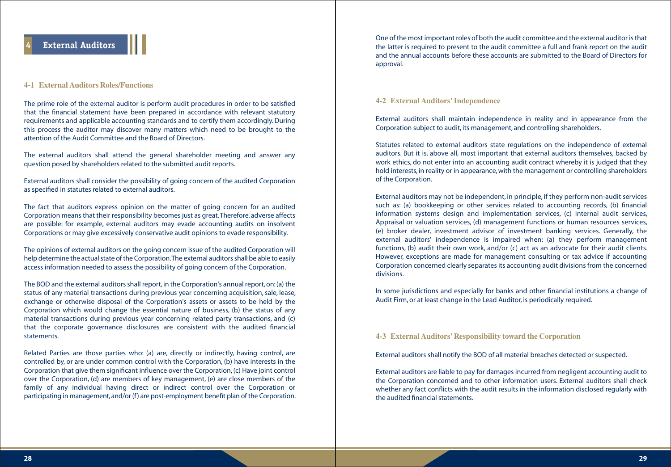#### **4-1 External Auditors Roles/Functions**

The prime role of the external auditor is perform audit procedures in order to be satisfied that the financial statement have been prepared in accordance with relevant statutory requirements and applicable accounting standards and to certify them accordingly. During this process the auditor may discover many matters which need to be brought to the attention of the Audit Committee and the Board of Directors.

The external auditors shall attend the general shareholder meeting and answer any question posed by shareholders related to the submitted audit reports.

External auditors shall consider the possibility of going concern of the audited Corporation as specified in statutes related to external auditors.

The fact that auditors express opinion on the matter of going concern for an audited Corporation means that their responsibility becomes just as great. Therefore, adverse affects are possible: for example, external auditors may evade accounting audits on insolvent Corporations or may give excessively conservative audit opinions to evade responsibility.

The opinions of external auditors on the going concern issue of the audited Corporation will help determine the actual state of the Corporation. The external auditors shall be able to easily access information needed to assess the possibility of going concern of the Corporation.

The BOD and the external auditors shall report, in the Corporation's annual report, on: (a) the status of any material transactions during previous year concerning acquisition, sale, lease, exchange or otherwise disposal of the Corporation's assets or assets to be held by the Corporation which would change the essential nature of business, (b) the status of any material transactions during previous year concerning related party transactions, and (c) that the corporate governance disclosures are consistent with the audited financial statements.

Related Parties are those parties who: (a) are, directly or indirectly, having control, are controlled by, or are under common control with the Corporation, (b) have interests in the Corporation that give them significant influence over the Corporation, (c) Have joint control over the Corporation, (d) are members of key management, (e) are close members of the family of any individual having direct or indirect control over the Corporation or participating in management, and/or (f) are post-employment benefit plan of the Corporation. One of the most important roles of both the audit committee and the external auditor is that the latter is required to present to the audit committee a full and frank report on the audit and the annual accounts before these accounts are submitted to the Board of Directors for approval.

#### **4-2 External Auditors' Independence**

External auditors shall maintain independence in reality and in appearance from the Corporation subject to audit, its management, and controlling shareholders.

Statutes related to external auditors state regulations on the independence of external auditors. But it is, above all, most important that external auditors themselves, backed by work ethics, do not enter into an accounting audit contract whereby it is judged that they hold interests, in reality or in appearance, with the management or controlling shareholders of the Corporation.

External auditors may not be independent, in principle, if they perform non-audit services such as: (a) bookkeeping or other services related to accounting records, (b) financial information systems design and implementation services, (c) internal audit services, Appraisal or valuation services, (d) management functions or human resources services, (e) broker dealer, investment advisor of investment banking services. Generally, the external auditors' independence is impaired when: (a) they perform management functions, (b) audit their own work, and/or (c) act as an advocate for their audit clients. However, exceptions are made for management consulting or tax advice if accounting Corporation concerned clearly separates its accounting audit divisions from the concerned divisions.

In some jurisdictions and especially for banks and other financial institutions a change of Audit Firm, or at least change in the Lead Auditor, is periodically required.

### **4-3 External Auditors' Responsibility toward the Corporation**

External auditors shall notify the BOD of all material breaches detected or suspected.

External auditors are liable to pay for damages incurred from negligent accounting audit to the Corporation concerned and to other information users. External auditors shall check whether any fact conflicts with the audit results in the information disclosed regularly with the audited financial statements.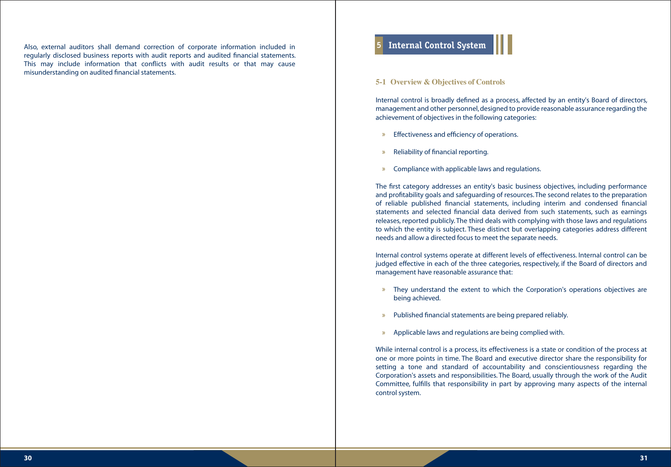Also, external auditors shall demand correction of corporate information included in **5 Internal Control System**  regularly disclosed business reports with audit reports and audited financial statements. This may include information that conflicts with audit results or that may cause misunderstanding on audited financial statements.

#### **5-1 Overview & Objectives of Controls**

Internal control is broadly defined as a process, affected by an entity's Board of directors, management and other personnel, designed to provide reasonable assurance regarding the achievement of objectives in the following categories:

- **Effectiveness and efficiency of operations.**
- Reliability of financial reporting.  $\mathbf{y}_\perp$
- Compliance with applicable laws and regulations.  $\mathbf{y}_\mathrm{c}$

The first category addresses an entity's basic business objectives, including performance and profitability goals and safeguarding of resources. The second relates to the preparation of reliable published financial statements, including interim and condensed financial statements and selected financial data derived from such statements, such as earnings releases, reported publicly. The third deals with complying with those laws and regulations to which the entity is subject. These distinct but overlapping categories address different needs and allow a directed focus to meet the separate needs.

Internal control systems operate at different levels of effectiveness. Internal control can be judged effective in each of the three categories, respectively, if the Board of directors and management have reasonable assurance that:

- They understand the extent to which the Corporation's operations objectives are being achieved.
- Published financial statements are being prepared reliably.  $\mathcal{V}^{\pm}$
- Applicable laws and regulations are being complied with.

While internal control is a process, its effectiveness is a state or condition of the process at one or more points in time. The Board and executive director share the responsibility for setting a tone and standard of accountability and conscientiousness regarding the Corporation's assets and responsibilities. The Board, usually through the work of the Audit Committee, fulfills that responsibility in part by approving many aspects of the internal control system.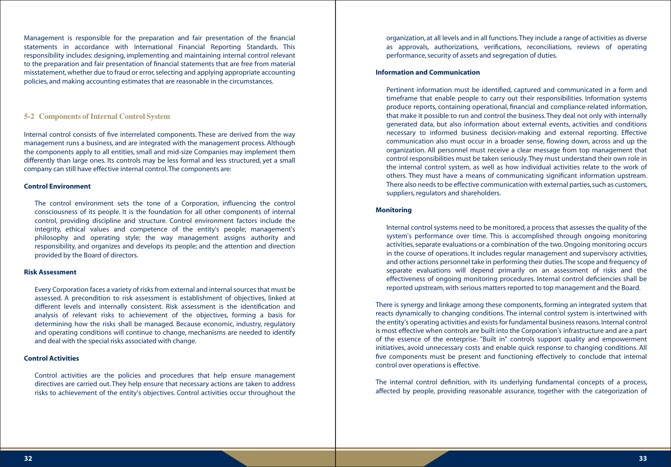Management is responsible for the preparation and fair presentation of the financial statements in accordance with International Financial Reporting Standards. This responsibility includes: designing, implementing and maintaining internal control relevant to the preparation and fair presentation of financial statements that are free from material misstatement, whether due to fraud or error, selecting and applying appropriate accounting policies, and making accounting estimates that are reasonable in the circumstances.

#### **5-2 Components of Internal Control System**

Internal control consists of five interrelated components. These are derived from the way management runs a business, and are integrated with the management process. Although the components apply to all entities, small and mid-size Companies may implement them differently than large ones. Its controls may be less formal and less structured, yet a small company can still have effective internal control. The components are:

#### **Control Environment**

The control environment sets the tone of a Corporation, influencing the control consciousness of its people. It is the foundation for all other components of internal control, providing discipline and structure. Control environment factors include the integrity, ethical values and competence of the entity's people; management's philosophy and operating style; the way management assigns authority and responsibility, and organizes and develops its people; and the attention and direction provided by the Board of directors.

#### **Risk Assessment**

Every Corporation faces a variety of risks from external and internal sources that must be assessed. A precondition to risk assessment is establishment of objectives, linked at different levels and internally consistent. Risk assessment is the identification and analysis of relevant risks to achievement of the objectives, forming a basis for determining how the risks shall be managed. Because economic, industry, regulatory and operating conditions will continue to change, mechanisms are needed to identify and deal with the special risks associated with change.

#### **Control Activities**

Control activities are the policies and procedures that help ensure management directives are carried out. They help ensure that necessary actions are taken to address risks to achievement of the entity's objectives. Control activities occur throughout the

organization, at all levels and in all functions. They include a range of activities as diverse as approvals, authorizations, verifications, reconciliations, reviews of operating performance, security of assets and segregation of duties.

#### **Information and Communication**

Pertinent information must be identified, captured and communicated in a form and timeframe that enable people to carry out their responsibilities. Information systems produce reports, containing operational, financial and compliance-related information, that make it possible to run and control the business. They deal not only with internally generated data, but also information about external events, activities and conditions necessary to informed business decision-making and external reporting. Effective communication also must occur in a broader sense, flowing down, across and up the organization. All personnel must receive a clear message from top management that control responsibilities must be taken seriously. They must understand their own role in the internal control system, as well as how individual activities relate to the work of others. They must have a means of communicating significant information upstream. There also needs to be effective communication with external parties, such as customers, suppliers, regulators and shareholders.

#### **Monitoring**

Internal control systems need to be monitored, a process that assesses the quality of the system's performance over time. This is accomplished through ongoing monitoring activities, separate evaluations or a combination of the two. Ongoing monitoring occurs in the course of operations. It includes regular management and supervisory activities, and other actions personnel take in performing their duties. The scope and frequency of separate evaluations will depend primarily on an assessment of risks and the effectiveness of ongoing monitoring procedures. Internal control deficiencies shall be reported upstream, with serious matters reported to top management and the Board.

There is synergy and linkage among these components, forming an integrated system that reacts dynamically to changing conditions. The internal control system is intertwined with the entity's operating activities and exists for fundamental business reasons. Internal control is most effective when controls are built into the Corporation's infrastructure and are a part of the essence of the enterprise. "Built in" controls support quality and empowerment initiatives, avoid unnecessary costs and enable quick response to changing conditions. All five components must be present and functioning effectively to conclude that internal control over operations is effective.

The internal control definition, with its underlying fundamental concepts of a process, affected by people, providing reasonable assurance, together with the categorization of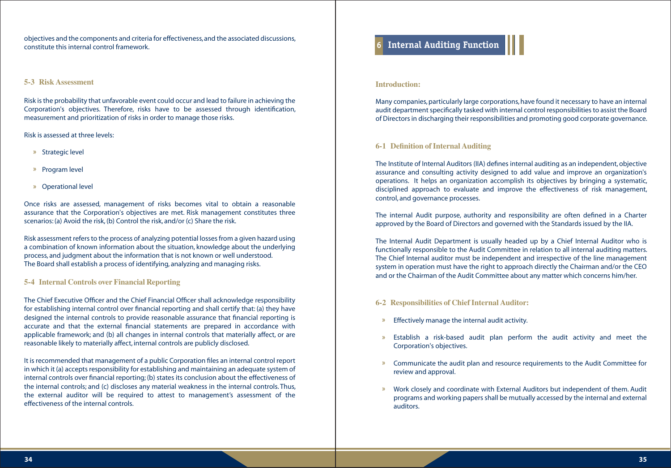**6** objectives and the components and criteria for effectiveness, and the associated discussions,<br> **6** Internal Auditing Function constitute this internal control framework.

#### **5-3 Risk Assessment**

Risk is the probability that unfavorable event could occur and lead to failure in achieving the Corporation's objectives. Therefore, risks have to be assessed through identification, measurement and prioritization of risks in order to manage those risks.

Risk is assessed at three levels:

- » Strategic level
- » Program level
- Operational level

Once risks are assessed, management of risks becomes vital to obtain a reasonable assurance that the Corporation's objectives are met. Risk management constitutes three scenarios: (a) Avoid the risk, (b) Control the risk, and/or (c) Share the risk.

Risk assessment refers to the process of analyzing potential losses from a given hazard using a combination of known information about the situation, knowledge about the underlying process, and judgment about the information that is not known or well understood. The Board shall establish a process of identifying, analyzing and managing risks.

#### **5-4 Internal Controls over Financial Reporting**

The Chief Executive Officer and the Chief Financial Officer shall acknowledge responsibility for establishing internal control over financial reporting and shall certify that: (a) they have designed the internal controls to provide reasonable assurance that financial reporting is accurate and that the external financial statements are prepared in accordance with applicable framework; and (b) all changes in internal controls that materially affect, or are reasonable likely to materially affect, internal controls are publicly disclosed.

It is recommended that management of a public Corporation files an internal control report in which it (a) accepts responsibility for establishing and maintaining an adequate system of internal controls over financial reporting; (b) states its conclusion about the effectiveness of the internal controls; and (c) discloses any material weakness in the internal controls. Thus, the external auditor will be required to attest to management's assessment of the effectiveness of the internal controls.

#### **Introduction:**

Many companies, particularly large corporations, have found it necessary to have an internal audit department specifically tasked with internal control responsibilities to assist the Board of Directors in discharging their responsibilities and promoting good corporate governance.

#### **6-1 Definition of Internal Auditing**

The Institute of Internal Auditors (IIA) defines internal auditing as an independent, objective assurance and consulting activity designed to add value and improve an organization's operations. It helps an organization accomplish its objectives by bringing a systematic, disciplined approach to evaluate and improve the effectiveness of risk management, control, and governance processes.

The internal Audit purpose, authority and responsibility are often defined in a Charter approved by the Board of Directors and governed with the Standards issued by the IIA.

The Internal Audit Department is usually headed up by a Chief Internal Auditor who is functionally responsible to the Audit Committee in relation to all internal auditing matters. The Chief Internal auditor must be independent and irrespective of the line management system in operation must have the right to approach directly the Chairman and/or the CEO and or the Chairman of the Audit Committee about any matter which concerns him/her.

#### **6-2 Responsibilities of Chief Internal Auditor:**

- **Effectively manage the internal audit activity.**
- Establish a risk-based audit plan perform the audit activity and meet the Corporation's objectives.
- Communicate the audit plan and resource requirements to the Audit Committee for review and approval.
- Work closely and coordinate with External Auditors but independent of them. Audit programs and working papers shall be mutually accessed by the internal and external auditors.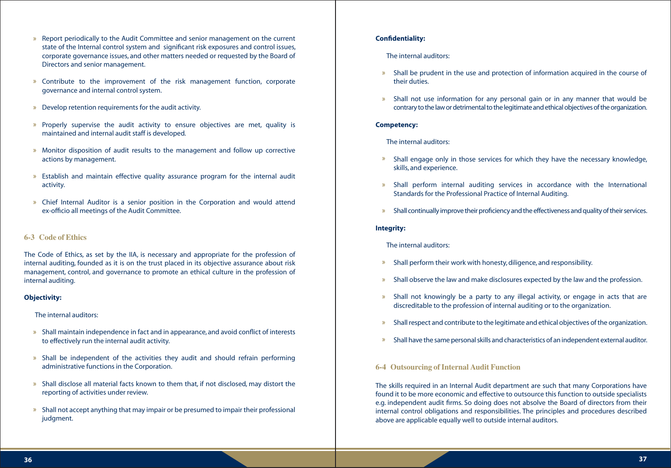- Report periodically to the Audit Committee and senior management on the current state of the Internal control system and significant risk exposures and control issues, corporate governance issues, and other matters needed or requested by the Board of Directors and senior management.
- Contribute to the improvement of the risk management function, corporate  $\mathbf{y}_i$ governance and internal control system.
- Develop retention requirements for the audit activity.
- Properly supervise the audit activity to ensure objectives are met, quality is  $\mathbf{y}$ maintained and internal audit staff is developed.
- Monitor disposition of audit results to the management and follow up corrective  $\overline{\mathbf{y}}$ actions by management.
- Establish and maintain effective quality assurance program for the internal audit  $\mathcal{V}$ activity.
- » Chief Internal Auditor is a senior position in the Corporation and would attend ex-officio all meetings of the Audit Committee.

### **6-3 Code of Ethics**

The Code of Ethics, as set by the IIA, is necessary and appropriate for the profession of internal auditing, founded as it is on the trust placed in its objective assurance about risk management, control, and governance to promote an ethical culture in the profession of internal auditing.

#### **Objectivity:**

The internal auditors:

- » Shall maintain independence in fact and in appearance, and avoid conflict of interests to effectively run the internal audit activity.
- » Shall be independent of the activities they audit and should refrain performing administrative functions in the Corporation.
- » Shall disclose all material facts known to them that, if not disclosed, may distort the reporting of activities under review.
- Shall not accept anything that may impair or be presumed to impair their professional judgment.

### **Confidentiality:**

The internal auditors:

- Shall be prudent in the use and protection of information acquired in the course of their duties.
- Shall not use information for any personal gain or in any manner that would be  $\mathbf{w}$ contrary to the law or detrimental to the legitimate and ethical objectives of the organization.

#### **Competency:**

The internal auditors:

- Shall engage only in those services for which they have the necessary knowledge, skills, and experience.
- Shall perform internal auditing services in accordance with the International  $\mathbf{y}_\mathrm{c}$ Standards for the Professional Practice of Internal Auditing.
- $\mathbf{y}$ Shall continually improve their proficiency and the effectiveness and quality of their services.

#### **Integrity:**

The internal auditors:

- Shall perform their work with honesty, diligence, and responsibility.  $\bar{\rm w}$
- Shall observe the law and make disclosures expected by the law and the profession.  $\mathbf{v}$
- Shall not knowingly be a party to any illegal activity, or engage in acts that are  $\gg$ discreditable to the profession of internal auditing or to the organization.
- Shall respect and contribute to the legitimate and ethical objectives of the organization.
- Shall have the same personal skills and characteristics of an independent external auditor.

#### **6-4 Outsourcing of Internal Audit Function**

The skills required in an Internal Audit department are such that many Corporations have found it to be more economic and effective to outsource this function to outside specialists e.g. independent audit firms. So doing does not absolve the Board of directors from their internal control obligations and responsibilities. The principles and procedures described above are applicable equally well to outside internal auditors.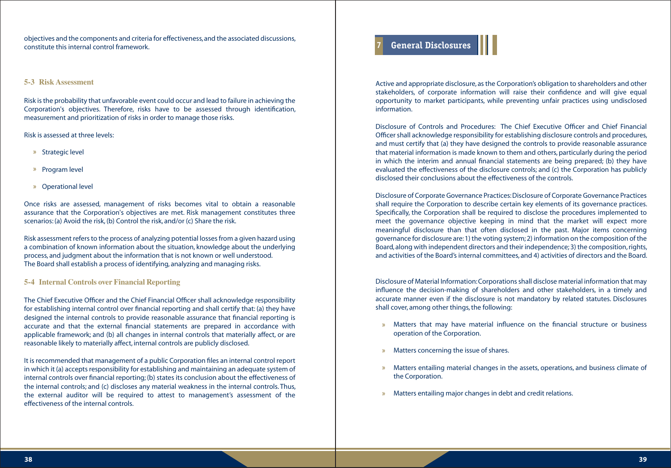**7 General Disclosures** objectives and the components and criteria for effectiveness, and the associated discussions, constitute this internal control framework.

#### **5-3 Risk Assessment**

Risk is the probability that unfavorable event could occur and lead to failure in achieving the Corporation's objectives. Therefore, risks have to be assessed through identification, measurement and prioritization of risks in order to manage those risks.

Risk is assessed at three levels:

- » Strategic level
- » Program level
- Operational level

Once risks are assessed, management of risks becomes vital to obtain a reasonable assurance that the Corporation's objectives are met. Risk management constitutes three scenarios: (a) Avoid the risk, (b) Control the risk, and/or (c) Share the risk.

Risk assessment refers to the process of analyzing potential losses from a given hazard using a combination of known information about the situation, knowledge about the underlying process, and judgment about the information that is not known or well understood. The Board shall establish a process of identifying, analyzing and managing risks.

#### **5-4 Internal Controls over Financial Reporting**

The Chief Executive Officer and the Chief Financial Officer shall acknowledge responsibility for establishing internal control over financial reporting and shall certify that: (a) they have designed the internal controls to provide reasonable assurance that financial reporting is accurate and that the external financial statements are prepared in accordance with applicable framework; and (b) all changes in internal controls that materially affect, or are reasonable likely to materially affect, internal controls are publicly disclosed.

It is recommended that management of a public Corporation files an internal control report in which it (a) accepts responsibility for establishing and maintaining an adequate system of internal controls over financial reporting; (b) states its conclusion about the effectiveness of the internal controls; and (c) discloses any material weakness in the internal controls. Thus, the external auditor will be required to attest to management's assessment of the effectiveness of the internal controls.

Active and appropriate disclosure, as the Corporation's obligation to shareholders and other stakeholders, of corporate information will raise their confidence and will give equal opportunity to market participants, while preventing unfair practices using undisclosed information.

Disclosure of Controls and Procedures: The Chief Executive Officer and Chief Financial Officer shall acknowledge responsibility for establishing disclosure controls and procedures, and must certify that (a) they have designed the controls to provide reasonable assurance that material information is made known to them and others, particularly during the period in which the interim and annual financial statements are being prepared; (b) they have evaluated the effectiveness of the disclosure controls; and (c) the Corporation has publicly disclosed their conclusions about the effectiveness of the controls.

Disclosure of Corporate Governance Practices: Disclosure of Corporate Governance Practices shall require the Corporation to describe certain key elements of its governance practices. Specifically, the Corporation shall be required to disclose the procedures implemented to meet the governance objective keeping in mind that the market will expect more meaningful disclosure than that often disclosed in the past. Major items concerning governance for disclosure are: 1) the voting system; 2) information on the composition of the Board, along with independent directors and their independence; 3) the composition, rights, and activities of the Board's internal committees, and 4) activities of directors and the Board.

Disclosure of Material Information: Corporations shall disclose material information that may influence the decision-making of shareholders and other stakeholders, in a timely and accurate manner even if the disclosure is not mandatory by related statutes. Disclosures shall cover, among other things, the following:

- Matters that may have material influence on the financial structure or business operation of the Corporation.
- Matters concerning the issue of shares.
- Matters entailing material changes in the assets, operations, and business climate of the Corporation.
- Matters entailing major changes in debt and credit relations.